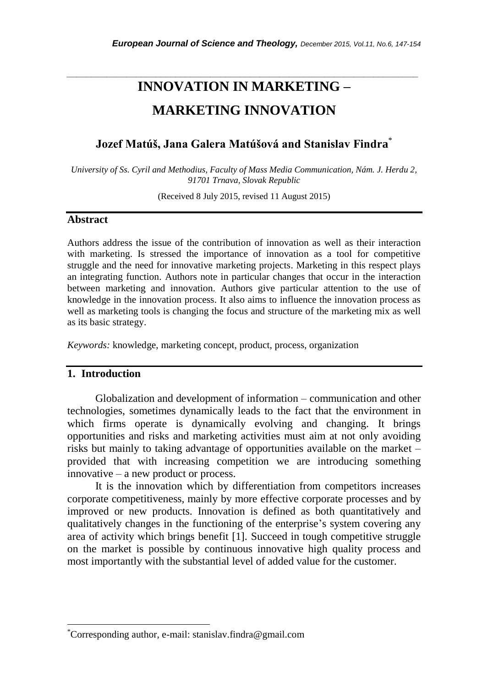# **INNOVATION IN MARKETING – MARKETING INNOVATION**

*\_\_\_\_\_\_\_\_\_\_\_\_\_\_\_\_\_\_\_\_\_\_\_\_\_\_\_\_\_\_\_\_\_\_\_\_\_\_\_\_\_\_\_\_\_\_\_\_\_\_\_\_\_\_\_\_\_\_\_\_\_\_\_\_\_\_\_\_\_\_\_*

# **Jozef Matúš, Jana Galera Matúšová and Stanislav Findra** \*

*University of Ss. Cyril and Methodius, Faculty of Mass Media Communication, Nám. J. Herdu 2, 91701 Trnava, Slovak Republic*

(Received 8 July 2015, revised 11 August 2015)

#### **Abstract**

Authors address the issue of the contribution of innovation as well as their interaction with marketing. Is stressed the importance of innovation as a tool for competitive struggle and the need for innovative marketing projects. Marketing in this respect plays an integrating function. Authors note in particular changes that occur in the interaction between marketing and innovation. Authors give particular attention to the use of knowledge in the innovation process. It also aims to influence the innovation process as well as marketing tools is changing the focus and structure of the marketing mix as well as its basic strategy.

*Keywords:* knowledge, marketing concept, product, process, organization

# **1. Introduction**

l

Globalization and development of information – communication and other technologies, sometimes dynamically leads to the fact that the environment in which firms operate is dynamically evolving and changing. It brings opportunities and risks and marketing activities must aim at not only avoiding risks but mainly to taking advantage of opportunities available on the market – provided that with increasing competition we are introducing something innovative – a new product or process.

It is the innovation which by differentiation from competitors increases corporate competitiveness, mainly by more effective corporate processes and by improved or new products. Innovation is defined as both quantitatively and qualitatively changes in the functioning of the enterprise"s system covering any area of activity which brings benefit [1]. Succeed in tough competitive struggle on the market is possible by continuous innovative high quality process and most importantly with the substantial level of added value for the customer.

<sup>\*</sup>Corresponding author, e-mail: stanislav.findra@gmail.com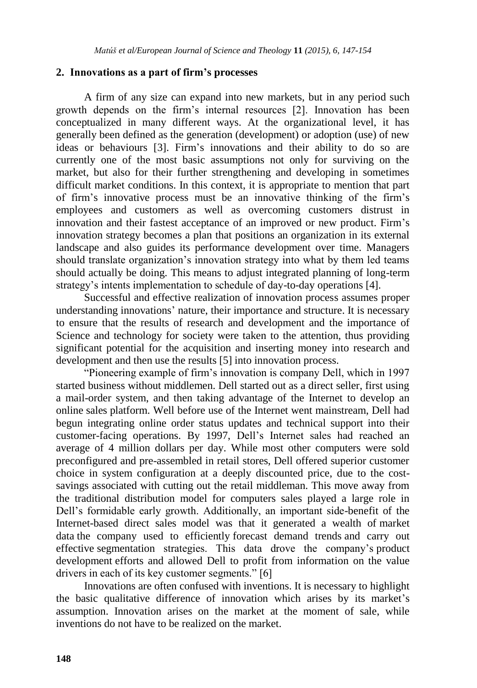# **2. Innovations as a part of firm's processes**

A firm of any size can expand into new markets, but in any period such growth depends on the firm"s internal resources [2]. Innovation has been conceptualized in many different ways. At the organizational level, it has generally been defined as the generation (development) or adoption (use) of new ideas or behaviours [3]. Firm"s innovations and their ability to do so are currently one of the most basic assumptions not only for surviving on the market, but also for their further strengthening and developing in sometimes difficult market conditions. In this context, it is appropriate to mention that part of firm"s innovative process must be an innovative thinking of the firm"s employees and customers as well as overcoming customers distrust in innovation and their fastest acceptance of an improved or new product. Firm"s innovation strategy becomes a plan that positions an organization in its external landscape and also guides its performance development over time. Managers should translate organization"s innovation strategy into what by them led teams should actually be doing. This means to adjust integrated planning of long-term strategy's intents implementation to schedule of day-to-day operations [4].

Successful and effective realization of innovation process assumes proper understanding innovations" nature, their importance and structure. It is necessary to ensure that the results of research and development and the importance of Science and technology for society were taken to the attention, thus providing significant potential for the acquisition and inserting money into research and development and then use the results [5] into innovation process.

"Pioneering example of firm"s innovation is company Dell, which in 1997 started business without middlemen. Dell started out as a direct seller, first using a mail-order system, and then taking advantage of the Internet to develop an online sales platform. Well before use of the Internet went mainstream, Dell had begun integrating online order status updates and technical support into their customer-facing operations. By 1997, Dell"s Internet sales had reached an average of 4 million dollars per day. While most other computers were sold preconfigured and pre-assembled in retail stores, Dell offered superior customer choice in system configuration at a deeply discounted price, due to the costsavings associated with cutting out the retail middleman. This move away from the traditional distribution model for computers sales played a large role in Dell"s formidable early growth. Additionally, an important side-benefit of the Internet-based direct sales model was that it generated a wealth of [market](http://www.marsdd.com/mars-library/market-research-for-startups-find-your-target-market-customers-and-competition/)  [data](http://www.marsdd.com/mars-library/market-research-for-startups-find-your-target-market-customers-and-competition/) the company used to efficiently [forecast demand trends](http://www.marsdd.com/mars-library/sales-forecasting-for-startups-cash-flow-planning-and-revenue-projection/) and carry out effective [segmentation](http://www.marsdd.com/mars-library/identifying-target-customer-segments-to-focus-your-marketing-resources/) strategies. This data drove the company"s [product](http://www.marsdd.com/mars-library/product-strategy-setting-your-strategic-vision-for-product-offerings/)  [development](http://www.marsdd.com/mars-library/product-strategy-setting-your-strategic-vision-for-product-offerings/) efforts and allowed Dell to profit from information on the value drivers in each of its key customer segments." [6]

Innovations are often confused with inventions. It is necessary to highlight the basic qualitative difference of innovation which arises by its market"s assumption. Innovation arises on the market at the moment of sale, while inventions do not have to be realized on the market.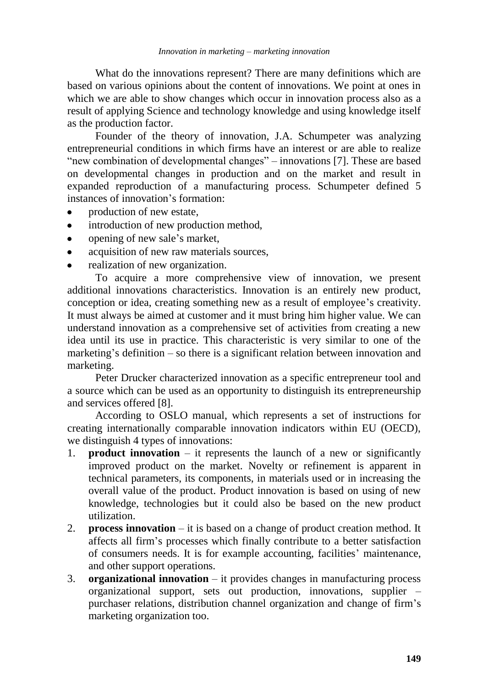What do the innovations represent? There are many definitions which are based on various opinions about the content of innovations. We point at ones in which we are able to show changes which occur in innovation process also as a result of applying Science and technology knowledge and using knowledge itself as the production factor.

Founder of the theory of innovation, J.A. Schumpeter was analyzing entrepreneurial conditions in which firms have an interest or are able to realize "new combination of developmental changes" – innovations [7]. These are based on developmental changes in production and on the market and result in expanded reproduction of a manufacturing process. Schumpeter defined 5 instances of innovation's formation:

- production of new estate,
- $\bullet$ introduction of new production method,
- opening of new sale"s market,
- acquisition of new raw materials sources,
- realization of new organization.

To acquire a more comprehensive view of innovation, we present additional innovations characteristics. Innovation is an entirely new product, conception or idea, creating something new as a result of employee's creativity. It must always be aimed at customer and it must bring him higher value. We can understand innovation as a comprehensive set of activities from creating a new idea until its use in practice. This characteristic is very similar to one of the marketing's definition  $-$  so there is a significant relation between innovation and marketing.

Peter Drucker characterized innovation as a specific entrepreneur tool and a source which can be used as an opportunity to distinguish its entrepreneurship and services offered [8].

According to OSLO manual, which represents a set of instructions for creating internationally comparable innovation indicators within EU (OECD), we distinguish 4 types of innovations:

- 1. **product innovation** it represents the launch of a new or significantly improved product on the market. Novelty or refinement is apparent in technical parameters, its components, in materials used or in increasing the overall value of the product. Product innovation is based on using of new knowledge, technologies but it could also be based on the new product utilization.
- 2. **process innovation** it is based on a change of product creation method. It affects all firm"s processes which finally contribute to a better satisfaction of consumers needs. It is for example accounting, facilities" maintenance, and other support operations.
- 3. **organizational innovation** it provides changes in manufacturing process organizational support, sets out production, innovations, supplier – purchaser relations, distribution channel organization and change of firm"s marketing organization too.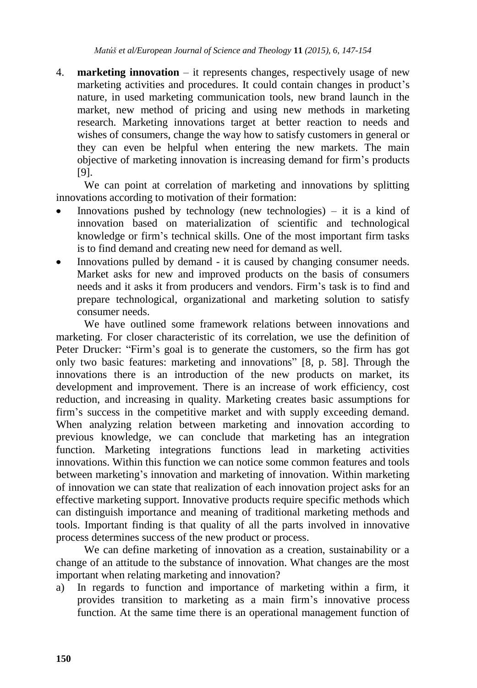4. **marketing innovation** – it represents changes, respectively usage of new marketing activities and procedures. It could contain changes in product's nature, in used marketing communication tools, new brand launch in the market, new method of pricing and using new methods in marketing research. Marketing innovations target at better reaction to needs and wishes of consumers, change the way how to satisfy customers in general or they can even be helpful when entering the new markets. The main objective of marketing innovation is increasing demand for firm"s products [9].

We can point at correlation of marketing and innovations by splitting innovations according to motivation of their formation:

- Innovations pushed by technology (new technologies) it is a kind of innovation based on materialization of scientific and technological knowledge or firm"s technical skills. One of the most important firm tasks is to find demand and creating new need for demand as well.
- Innovations pulled by demand it is caused by changing consumer needs. Market asks for new and improved products on the basis of consumers needs and it asks it from producers and vendors. Firm"s task is to find and prepare technological, organizational and marketing solution to satisfy consumer needs.

We have outlined some framework relations between innovations and marketing. For closer characteristic of its correlation, we use the definition of Peter Drucker: "Firm"s goal is to generate the customers, so the firm has got only two basic features: marketing and innovations" [8, p. 58]. Through the innovations there is an introduction of the new products on market, its development and improvement. There is an increase of work efficiency, cost reduction, and increasing in quality. Marketing creates basic assumptions for firm"s success in the competitive market and with supply exceeding demand. When analyzing relation between marketing and innovation according to previous knowledge, we can conclude that marketing has an integration function. Marketing integrations functions lead in marketing activities innovations. Within this function we can notice some common features and tools between marketing"s innovation and marketing of innovation. Within marketing of innovation we can state that realization of each innovation project asks for an effective marketing support. Innovative products require specific methods which can distinguish importance and meaning of traditional marketing methods and tools. Important finding is that quality of all the parts involved in innovative process determines success of the new product or process.

We can define marketing of innovation as a creation, sustainability or a change of an attitude to the substance of innovation. What changes are the most important when relating marketing and innovation?

a) In regards to function and importance of marketing within a firm, it provides transition to marketing as a main firm"s innovative process function. At the same time there is an operational management function of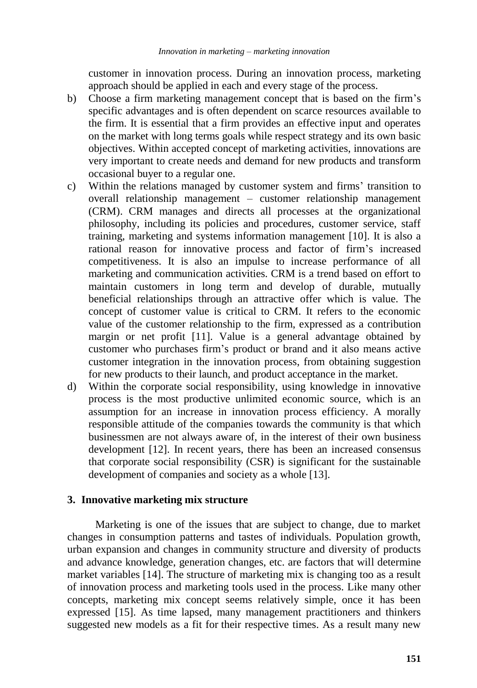customer in innovation process. During an innovation process, marketing approach should be applied in each and every stage of the process.

- b) Choose a firm marketing management concept that is based on the firm's specific advantages and is often dependent on scarce resources available to the firm. It is essential that a firm provides an effective input and operates on the market with long terms goals while respect strategy and its own basic objectives. Within accepted concept of marketing activities, innovations are very important to create needs and demand for new products and transform occasional buyer to a regular one.
- c) Within the relations managed by customer system and firms" transition to overall relationship management – customer relationship management (CRM). CRM manages and directs all processes at the organizational philosophy, including its policies and procedures, customer service, staff training, marketing and systems information management [10]. It is also a rational reason for innovative process and factor of firm"s increased competitiveness. It is also an impulse to increase performance of all marketing and communication activities. CRM is a trend based on effort to maintain customers in long term and develop of durable, mutually beneficial relationships through an attractive offer which is value. The concept of customer value is critical to CRM. It refers to the economic value of the customer relationship to the firm, expressed as a contribution margin or net profit [11]. Value is a general advantage obtained by customer who purchases firm"s product or brand and it also means active customer integration in the innovation process, from obtaining suggestion for new products to their launch, and product acceptance in the market.
- d) Within the corporate social responsibility, using knowledge in innovative process is the most productive unlimited economic source, which is an assumption for an increase in innovation process efficiency. A morally responsible attitude of the companies towards the community is that which businessmen are not always aware of, in the interest of their own business development [12]. In recent years, there has been an increased consensus that corporate social responsibility (CSR) is significant for the sustainable development of companies and society as a whole [13].

#### **3. Innovative marketing mix structure**

Marketing is one of the issues that are subject to change, due to market changes in consumption patterns and tastes of individuals. Population growth, urban expansion and changes in community structure and diversity of products and advance knowledge, generation changes, etc. are factors that will determine market variables [14]. The structure of marketing mix is changing too as a result of innovation process and marketing tools used in the process. Like many other concepts, marketing mix concept seems relatively simple, once it has been expressed [15]. As time lapsed, many management practitioners and thinkers suggested new models as a fit for their respective times. As a result many new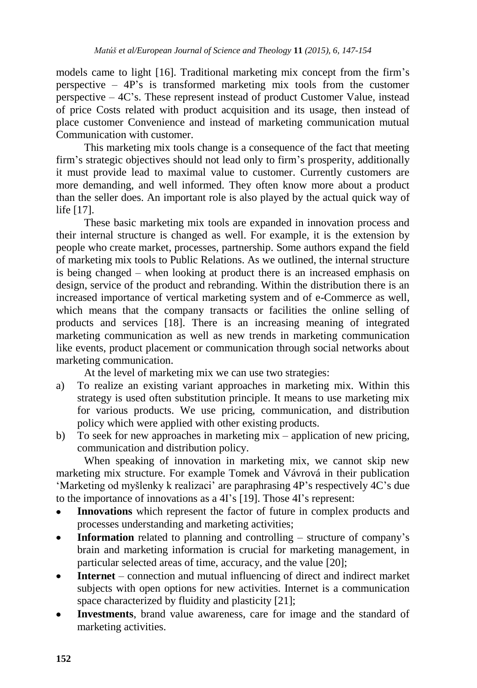models came to light [16]. Traditional marketing mix concept from the firm"s perspective  $-4P$ 's is transformed marketing mix tools from the customer perspective – 4C"s. These represent instead of product Customer Value, instead of price Costs related with product acquisition and its usage, then instead of place customer Convenience and instead of marketing communication mutual Communication with customer.

This marketing mix tools change is a consequence of the fact that meeting firm"s strategic objectives should not lead only to firm"s prosperity, additionally it must provide lead to maximal value to customer. Currently customers are more demanding, and well informed. They often know more about a product than the seller does. An important role is also played by the actual quick way of life [17].

These basic marketing mix tools are expanded in innovation process and their internal structure is changed as well. For example, it is the extension by people who create market, processes, partnership. Some authors expand the field of marketing mix tools to Public Relations. As we outlined, the internal structure is being changed – when looking at product there is an increased emphasis on design, service of the product and rebranding. Within the distribution there is an increased importance of vertical marketing system and of e-Commerce as well, which means that the company transacts or facilities the online selling of products and services [18]. There is an increasing meaning of integrated marketing communication as well as new trends in marketing communication like events, product placement or communication through social networks about marketing communication.

At the level of marketing mix we can use two strategies:

- a) To realize an existing variant approaches in marketing mix. Within this strategy is used often substitution principle. It means to use marketing mix for various products. We use pricing, communication, and distribution policy which were applied with other existing products.
- b) To seek for new approaches in marketing mix application of new pricing, communication and distribution policy.

When speaking of innovation in marketing mix, we cannot skip new marketing mix structure. For example Tomek and Vávrová in their publication 'Marketing od myšlenky k realizaci' are paraphrasing 4P's respectively 4C's due to the importance of innovations as a 4I"s [19]. Those 4I"s represent:

- **Innovations** which represent the factor of future in complex products and  $\bullet$ processes understanding and marketing activities;
- **Information** related to planning and controlling structure of company's brain and marketing information is crucial for marketing management, in particular selected areas of time, accuracy, and the value [20];
- **Internet** connection and mutual influencing of direct and indirect market subjects with open options for new activities. Internet is a communication space characterized by fluidity and plasticity [21];
- **Investments**, brand value awareness, care for image and the standard of marketing activities.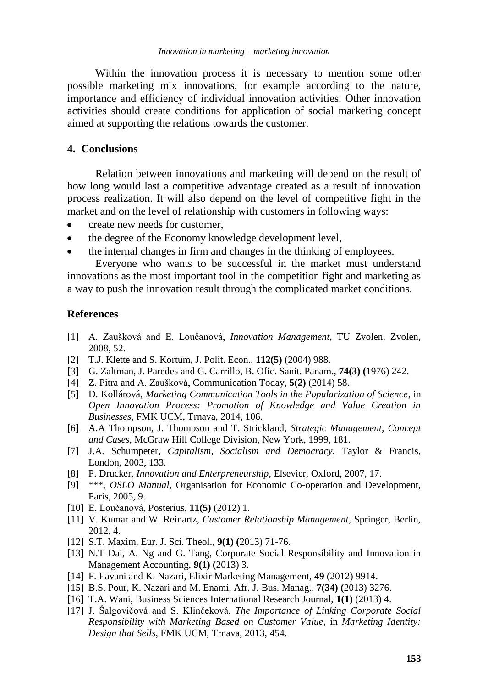Within the innovation process it is necessary to mention some other possible marketing mix innovations, for example according to the nature, importance and efficiency of individual innovation activities. Other innovation activities should create conditions for application of social marketing concept aimed at supporting the relations towards the customer.

# **4. Conclusions**

Relation between innovations and marketing will depend on the result of how long would last a competitive advantage created as a result of innovation process realization. It will also depend on the level of competitive fight in the market and on the level of relationship with customers in following ways:

- create new needs for customer,
- the degree of the Economy knowledge development level,
- the internal changes in firm and changes in the thinking of employees.

Everyone who wants to be successful in the market must understand innovations as the most important tool in the competition fight and marketing as a way to push the innovation result through the complicated market conditions.

#### **References**

- [1] A. Zaušková and E. Loučanová, *Innovation Management,* TU Zvolen, Zvolen, 2008, 52.
- [2] T.J. Klette and S. Kortum, J. Polit. Econ., **112(5)** (2004) 988.
- [3] G. Zaltman, J. Paredes and G. Carrillo, B. Ofic. Sanit. Panam., **74(3) (**1976) 242.
- [4] Z. Pitra and A. Zaušková, Communication Today, **5(2)** (2014) 58.
- [5] D. Kollárová, *Marketing Communication Tools in the Popularization of Science*, in *Open Innovation Process: Promotion of Knowledge and Value Creation in Businesses*, FMK UCM, Trnava, 2014, 106.
- [6] A.A Thompson, J. Thompson and T. Strickland, *Strategic Management, Concept and Cases,* McGraw Hill College Division, New York, 1999, 181.
- [7] J.A. Schumpeter, *Capitalism, Socialism and Democracy,* Taylor & Francis, London, 2003, 133.
- [8] P. Drucker, *Innovation and Enterpreneurship,* Elsevier, Oxford, 2007, 17.
- [9] \*\*\*, *OSLO Manual,* Organisation for Economic Co-operation and Development, Paris, 2005, 9.
- [10] E. Loučanová, Posterius, **11(5)** (2012) 1.
- [11] V. Kumar and W. Reinartz, *Customer Relationship Management,* Springer, Berlin, 2012, 4.
- [12] S.T. Maxim, Eur. J. Sci. Theol., **9(1) (**2013) 71-76.
- [13] N.T Dai, A. Ng and G. Tang, Corporate Social Responsibility and Innovation in Management Accounting, **9(1) (**2013) 3.
- [14] F. Eavani and K. Nazari, Elixir Marketing Management, **49** (2012) 9914.
- [15] B.S. Pour, K. Nazari and M. Enami, Afr. J. Bus. Manag., **7(34) (**2013) 3276.
- [16] T.A. Wani, Business Sciences International Research Journal, **1(1)** (2013) 4.
- [17] J. Šalgovičová and S. Klinčeková, *The Importance of Linking Corporate Social Responsibility with Marketing Based on Customer Value*, in *Marketing Identity: Design that Sells*, FMK UCM, Trnava, 2013, 454.